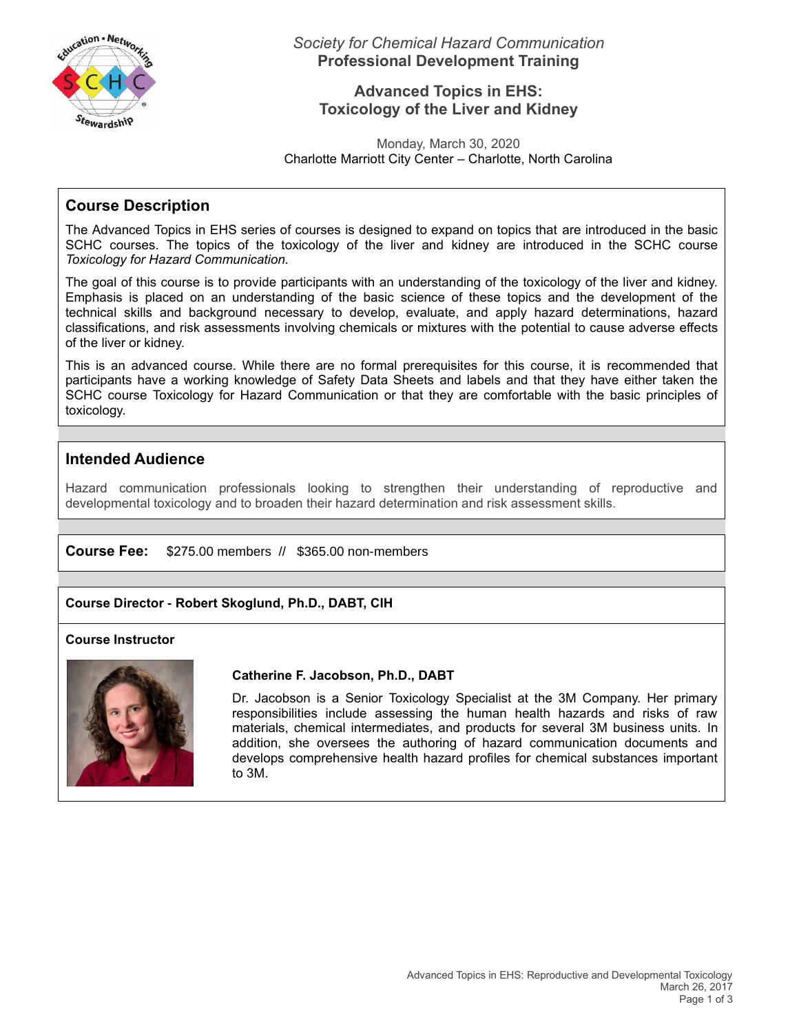

*Society for Chemical Hazard Communication* **Professional Development Training**

## **Advanced Topics in EHS: Toxicology of the Liver and Kidney**

Monday, March 30, 2020 Charlotte Marriott City Center – Charlotte, North Carolina

# **Course Description**

The Advanced Topics in EHS series of courses is designed to expand on topics that are introduced in the basic SCHC courses. The topics of the toxicology of the liver and kidney are introduced in the SCHC course *Toxicology for Hazard Communication.* 

The goal of this course is to provide participants with an understanding of the toxicology of the liver and kidney. Emphasis is placed on an understanding of the basic science of these topics and the development of the technical skills and background necessary to develop, evaluate, and apply hazard determinations, hazard classifications, and risk assessments involving chemicals or mixtures with the potential to cause adverse effects of the liver or kidney.

This is an advanced course. While there are no formal prerequisites for this course, it is recommended that participants have a working knowledge of Safety Data Sheets and labels and that they have either taken the SCHC course Toxicology for Hazard Communication or that they are comfortable with the basic principles of toxicology.

# **Intended Audience**

Hazard communication professionals looking to strengthen their understanding of reproductive and developmental toxicology and to broaden their hazard determination and risk assessment skills.

### **Course Fee:** \$275.00 members // \$365.00 non-members

### **Course Director - Robert Skoglund, Ph.D., DABT, CIH**

### **Course Instructor**



#### **Catherine F. Jacobson, Ph.D., DABT**

Dr. Jacobson is a Senior Toxicology Specialist at the 3M Company. Her primary responsibilities include assessing the human health hazards and risks of raw materials, chemical intermediates, and products for several 3M business units. In addition, she oversees the authoring of hazard communication documents and develops comprehensive health hazard profiles for chemical substances important to 3M.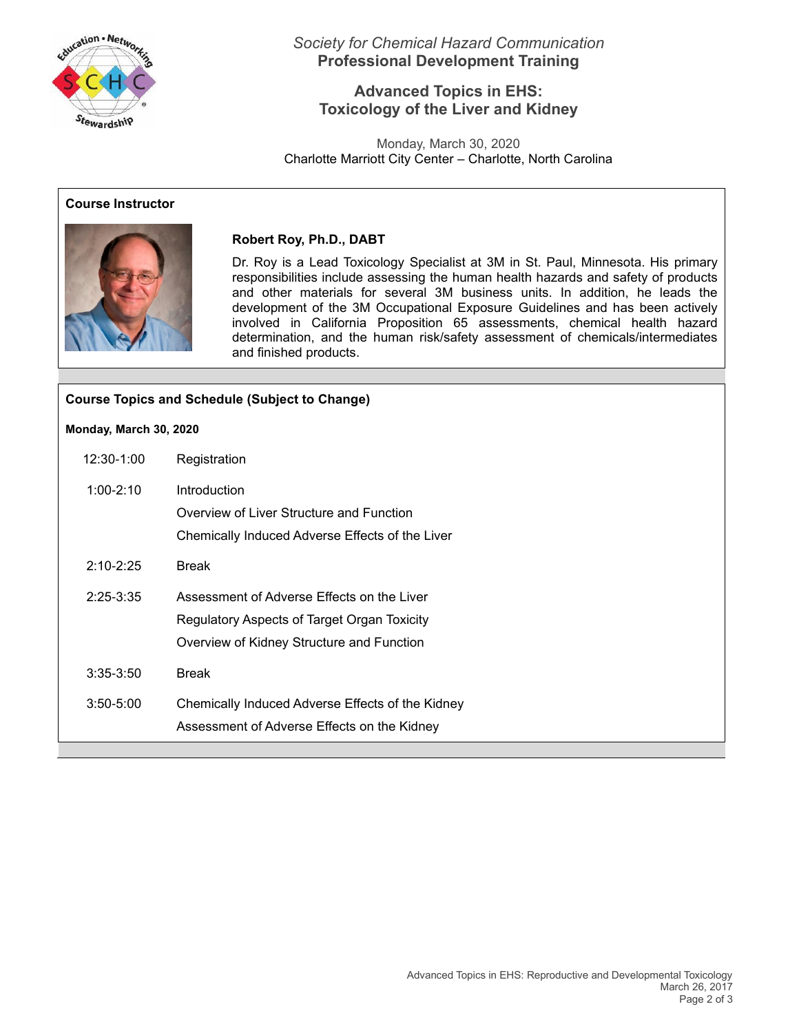

*Society for Chemical Hazard Communication* **Professional Development Training**

## **Advanced Topics in EHS: Toxicology of the Liver and Kidney**

Monday, March 30, 2020 Charlotte Marriott City Center – Charlotte, North Carolina

### **Course Instructor**



### **Robert Roy, Ph.D., DABT**

Dr. Roy is a Lead Toxicology Specialist at 3M in St. Paul, Minnesota. His primary responsibilities include assessing the human health hazards and safety of products and other materials for several 3M business units. In addition, he leads the development of the 3M Occupational Exposure Guidelines and has been actively involved in California Proposition 65 assessments, chemical health hazard determination, and the human risk/safety assessment of chemicals/intermediates and finished products.

| <b>Course Topics and Schedule (Subject to Change)</b> |                                                  |
|-------------------------------------------------------|--------------------------------------------------|
| Monday, March 30, 2020                                |                                                  |
| 12:30-1:00                                            | Registration                                     |
| $1:00 - 2:10$                                         | Introduction                                     |
|                                                       | Overview of Liver Structure and Function         |
|                                                       | Chemically Induced Adverse Effects of the Liver  |
| $2:10 - 2:25$                                         | <b>Break</b>                                     |
| $2:25 - 3:35$                                         | Assessment of Adverse Effects on the Liver       |
|                                                       | Regulatory Aspects of Target Organ Toxicity      |
|                                                       | Overview of Kidney Structure and Function        |
| $3:35-3:50$                                           | <b>Break</b>                                     |
| $3:50 - 5:00$                                         | Chemically Induced Adverse Effects of the Kidney |
|                                                       | Assessment of Adverse Effects on the Kidney      |
|                                                       |                                                  |